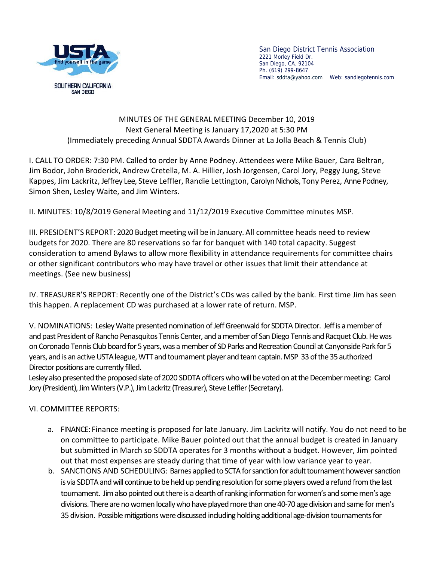

San Diego District Tennis Association 2221 Morley Field Dr. San Diego, CA. 92104 Ph. (619) 299-8647 Email: sddta@yahoo.com Web: sandiegotennis.com

## MINUTES OF THE GENERAL MEETING December 10, 2019 Next General Meeting is January 17,2020 at 5:30 PM (Immediately preceding Annual SDDTA Awards Dinner at La Jolla Beach & Tennis Club)

I. CALL TO ORDER: 7:30 PM.Called to order by Anne Podney. Attendees were Mike Bauer, Cara Beltran, Jim Bodor, John Broderick, Andrew Cretella, M. A. Hillier, Josh Jorgensen, Carol Jory, Peggy Jung, Steve Kappes, Jim Lackritz, Jeffrey Lee, Steve Leffler, Randie Lettington, Carolyn Nichols, Tony Perez, Anne Podney, Simon Shen, Lesley Waite, and Jim Winters.

II. MINUTES: 10/8/2019 General Meeting and 11/12/2019 Executive Committee minutes MSP.

III. PRESIDENT'S REPORT: 2020 Budget meeting will be in January. All committee heads need to review budgets for 2020. There are 80 reservations so far for banquet with 140 total capacity. Suggest consideration to amend Bylaws to allow more flexibility in attendance requirements for committee chairs or other significant contributors who may have travel or other issues that limit their attendance at meetings. (See new business)

IV. TREASURER'S REPORT: Recently one of the District's CDs was called by the bank. First time Jim has seen this happen. A replacement CD was purchased at a lower rate of return. MSP.

V. NOMINATIONS: Lesley Waite presented nomination of Jeff Greenwald for SDDTA Director. Jeff is a member of and past President of Rancho Penasquitos Tennis Center, and a member of San Diego Tennis and Racquet Club. He was on Coronado Tennis Club board for 5 years, was a member of SD Parks and Recreation Council at Canyonside Park for 5 years, and is an active USTA league, WTT and tournament player and team captain. MSP 33 of the 35 authorized Director positions are currently filled.

Lesley also presented the proposed slate of 2020 SDDTA officers who will be voted on at the December meeting: Carol Jory (President), Jim Winters (V.P.), Jim Lackritz (Treasurer), Steve Leffler (Secretary).

## VI. COMMITTEE REPORTS:

- a. FINANCE: Finance meeting is proposed for late January. Jim Lackritz will notify. You do not need to be on committee to participate. Mike Bauer pointed out that the annual budget is created in January but submitted in March so SDDTA operates for 3 months without a budget. However, Jim pointed out that most expenses are steady during that time of year with low variance year to year.
- b. SANCTIONS AND SCHEDULING: Barnes applied to SCTA for sanction for adult tournament however sanction is via SDDTA and will continue to be held up pending resolution for some players owed a refund from the last tournament. Jim also pointed out there is a dearth of ranking information for women's and some men's age divisions. There are no women locally who have played more than one 40-70 age division and same for men's 35 division. Possible mitigations were discussed including holding additional age-division tournaments for